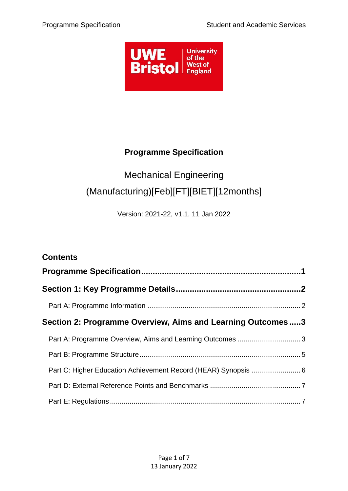

# **Programme Specification**

# <span id="page-0-0"></span>Mechanical Engineering (Manufacturing)[Feb][FT][BIET][12months]

Version: 2021-22, v1.1, 11 Jan 2022

| <b>Contents</b>                                                |  |
|----------------------------------------------------------------|--|
|                                                                |  |
|                                                                |  |
|                                                                |  |
| Section 2: Programme Overview, Aims and Learning Outcomes3     |  |
| Part A: Programme Overview, Aims and Learning Outcomes  3      |  |
|                                                                |  |
| Part C: Higher Education Achievement Record (HEAR) Synopsis  6 |  |
|                                                                |  |
|                                                                |  |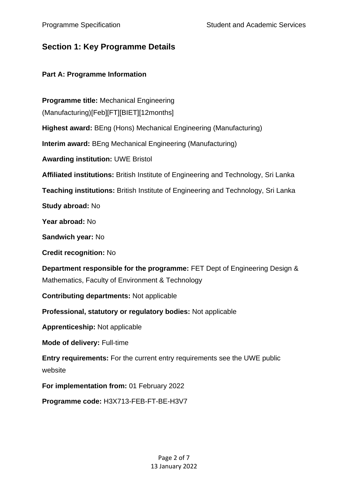# <span id="page-1-0"></span>**Section 1: Key Programme Details**

# <span id="page-1-1"></span>**Part A: Programme Information**

**Programme title:** Mechanical Engineering (Manufacturing)[Feb][FT][BIET][12months] **Highest award:** BEng (Hons) Mechanical Engineering (Manufacturing) **Interim award:** BEng Mechanical Engineering (Manufacturing) **Awarding institution:** UWE Bristol **Affiliated institutions:** British Institute of Engineering and Technology, Sri Lanka **Teaching institutions:** British Institute of Engineering and Technology, Sri Lanka **Study abroad:** No **Year abroad:** No **Sandwich year:** No **Credit recognition:** No **Department responsible for the programme:** FET Dept of Engineering Design & Mathematics, Faculty of Environment & Technology **Contributing departments:** Not applicable **Professional, statutory or regulatory bodies:** Not applicable **Apprenticeship:** Not applicable **Mode of delivery:** Full-time **Entry requirements:** For the current entry requirements see the UWE public website **For implementation from:** 01 February 2022 **Programme code:** H3X713-FEB-FT-BE-H3V7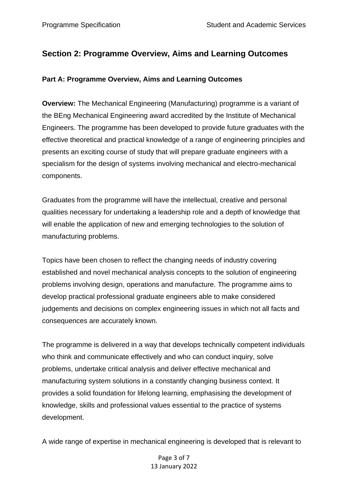# <span id="page-2-0"></span>**Section 2: Programme Overview, Aims and Learning Outcomes**

## <span id="page-2-1"></span>**Part A: Programme Overview, Aims and Learning Outcomes**

**Overview:** The Mechanical Engineering (Manufacturing) programme is a variant of the BEng Mechanical Engineering award accredited by the Institute of Mechanical Engineers. The programme has been developed to provide future graduates with the effective theoretical and practical knowledge of a range of engineering principles and presents an exciting course of study that will prepare graduate engineers with a specialism for the design of systems involving mechanical and electro-mechanical components.

Graduates from the programme will have the intellectual, creative and personal qualities necessary for undertaking a leadership role and a depth of knowledge that will enable the application of new and emerging technologies to the solution of manufacturing problems.

Topics have been chosen to reflect the changing needs of industry covering established and novel mechanical analysis concepts to the solution of engineering problems involving design, operations and manufacture. The programme aims to develop practical professional graduate engineers able to make considered judgements and decisions on complex engineering issues in which not all facts and consequences are accurately known.

The programme is delivered in a way that develops technically competent individuals who think and communicate effectively and who can conduct inquiry, solve problems, undertake critical analysis and deliver effective mechanical and manufacturing system solutions in a constantly changing business context. It provides a solid foundation for lifelong learning, emphasising the development of knowledge, skills and professional values essential to the practice of systems development.

A wide range of expertise in mechanical engineering is developed that is relevant to

## Page 3 of 7 13 January 2022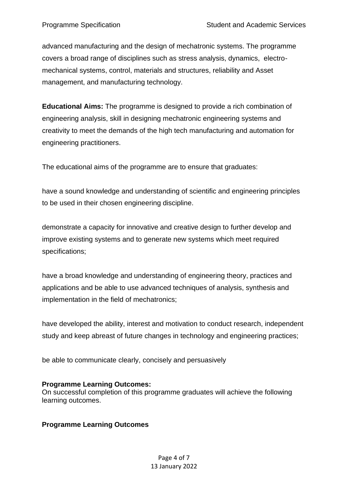advanced manufacturing and the design of mechatronic systems. The programme covers a broad range of disciplines such as stress analysis, dynamics, electromechanical systems, control, materials and structures, reliability and Asset management, and manufacturing technology.

**Educational Aims:** The programme is designed to provide a rich combination of engineering analysis, skill in designing mechatronic engineering systems and creativity to meet the demands of the high tech manufacturing and automation for engineering practitioners.

The educational aims of the programme are to ensure that graduates:

have a sound knowledge and understanding of scientific and engineering principles to be used in their chosen engineering discipline.

demonstrate a capacity for innovative and creative design to further develop and improve existing systems and to generate new systems which meet required specifications;

have a broad knowledge and understanding of engineering theory, practices and applications and be able to use advanced techniques of analysis, synthesis and implementation in the field of mechatronics;

have developed the ability, interest and motivation to conduct research, independent study and keep abreast of future changes in technology and engineering practices;

be able to communicate clearly, concisely and persuasively

## **Programme Learning Outcomes:**

On successful completion of this programme graduates will achieve the following learning outcomes.

# **Programme Learning Outcomes**

Page 4 of 7 13 January 2022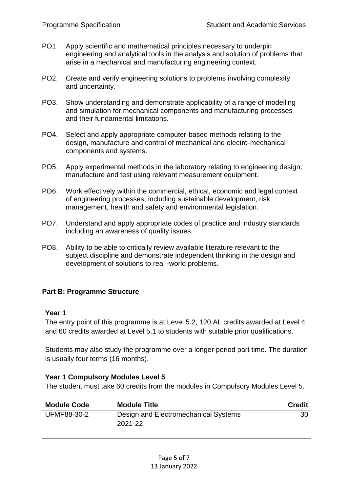- PO1. Apply scientific and mathematical principles necessary to underpin engineering and analytical tools in the analysis and solution of problems that arise in a mechanical and manufacturing engineering context.
- PO2. Create and verify engineering solutions to problems involving complexity and uncertainty.
- PO3. Show understanding and demonstrate applicability of a range of modelling and simulation for mechanical components and manufacturing processes and their fundamental limitations.
- PO4. Select and apply appropriate computer-based methods relating to the design, manufacture and control of mechanical and electro-mechanical components and systems.
- PO5. Apply experimental methods in the laboratory relating to engineering design, manufacture and test using relevant measurement equipment.
- PO6. Work effectively within the commercial, ethical, economic and legal context of engineering processes, including sustainable development, risk management, health and safety and environmental legislation.
- PO7. Understand and apply appropriate codes of practice and industry standards including an awareness of quality issues.
- PO8. Ability to be able to critically review available literature relevant to the subject discipline and demonstrate independent thinking in the design and development of solutions to real -world problems.

## <span id="page-4-0"></span>**Part B: Programme Structure**

#### **Year 1**

The entry point of this programme is at Level 5.2, 120 AL credits awarded at Level 4 and 60 credits awarded at Level 5.1 to students with suitable prior qualifications.

Students may also study the programme over a longer period part time. The duration is usually four terms (16 months).

#### **Year 1 Compulsory Modules Level 5**

The student must take 60 credits from the modules in Compulsory Modules Level 5.

| <b>Module Code</b> | <b>Module Title</b>                             | <b>Credit</b> |
|--------------------|-------------------------------------------------|---------------|
| UFMF88-30-2        | Design and Electromechanical Systems<br>2021-22 | 30            |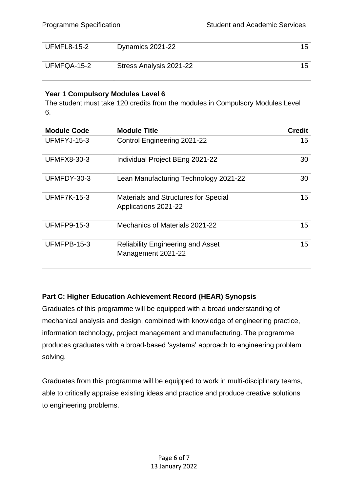| <b>UFMFL8-15-2</b> | Dynamics 2021-22        |  |
|--------------------|-------------------------|--|
| UFMFQA-15-2        | Stress Analysis 2021-22 |  |

# **Year 1 Compulsory Modules Level 6**

The student must take 120 credits from the modules in Compulsory Modules Level 6.

| <b>Module Code</b> | <b>Module Title</b>                                                 | <b>Credit</b> |
|--------------------|---------------------------------------------------------------------|---------------|
| UFMFYJ-15-3        | <b>Control Engineering 2021-22</b>                                  | 15            |
| <b>UFMFX8-30-3</b> | Individual Project BEng 2021-22                                     | 30            |
| UFMFDY-30-3        | Lean Manufacturing Technology 2021-22                               | 30            |
| <b>UFMF7K-15-3</b> | <b>Materials and Structures for Special</b><br>Applications 2021-22 | 15            |
| <b>UFMFP9-15-3</b> | Mechanics of Materials 2021-22                                      | 15            |
| UFMFPB-15-3        | <b>Reliability Engineering and Asset</b><br>Management 2021-22      | 15            |

# <span id="page-5-0"></span>**Part C: Higher Education Achievement Record (HEAR) Synopsis**

Graduates of this programme will be equipped with a broad understanding of mechanical analysis and design, combined with knowledge of engineering practice, information technology, project management and manufacturing. The programme produces graduates with a broad-based 'systems' approach to engineering problem solving.

Graduates from this programme will be equipped to work in multi-disciplinary teams, able to critically appraise existing ideas and practice and produce creative solutions to engineering problems.